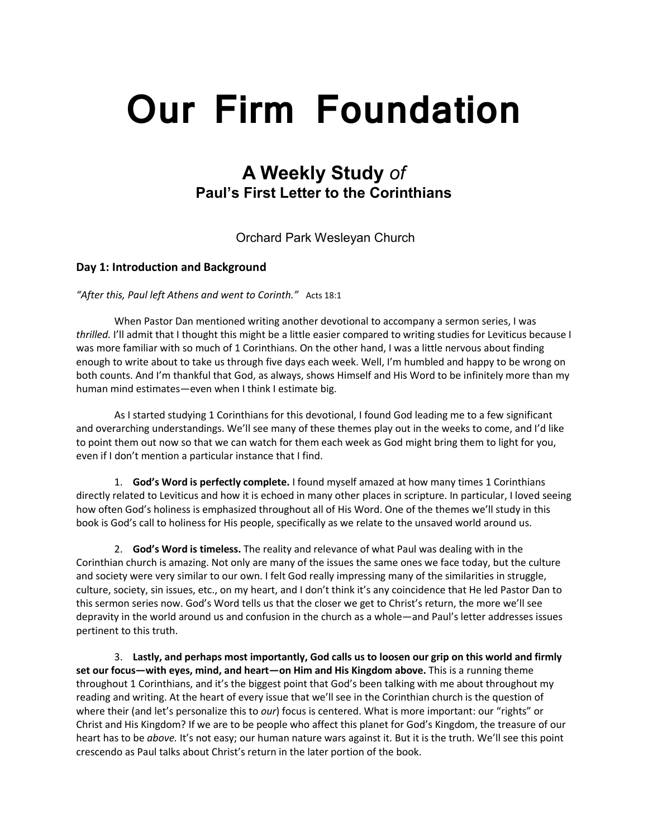# **Our Firm Foundation**

# **A Weekly Study** *of* **Paul's First Letter to the Corinthians**

Orchard Park Wesleyan Church

# **Day 1: Introduction and Background**

*"After this, Paul left Athens and went to Corinth."* Acts 18:1

When Pastor Dan mentioned writing another devotional to accompany a sermon series, I was *thrilled.* I'll admit that I thought this might be a little easier compared to writing studies for Leviticus because I was more familiar with so much of 1 Corinthians. On the other hand, I was a little nervous about finding enough to write about to take us through five days each week. Well, I'm humbled and happy to be wrong on both counts. And I'm thankful that God, as always, shows Himself and His Word to be infinitely more than my human mind estimates—even when I think I estimate big.

As I started studying 1 Corinthians for this devotional, I found God leading me to a few significant and overarching understandings. We'll see many of these themes play out in the weeks to come, and I'd like to point them out now so that we can watch for them each week as God might bring them to light for you, even if I don't mention a particular instance that I find.

1. **God's Word is perfectly complete.** I found myself amazed at how many times 1 Corinthians directly related to Leviticus and how it is echoed in many other places in scripture. In particular, I loved seeing how often God's holiness is emphasized throughout all of His Word. One of the themes we'll study in this book is God's call to holiness for His people, specifically as we relate to the unsaved world around us.

2. **God's Word is timeless.** The reality and relevance of what Paul was dealing with in the Corinthian church is amazing. Not only are many of the issues the same ones we face today, but the culture and society were very similar to our own. I felt God really impressing many of the similarities in struggle, culture, society, sin issues, etc., on my heart, and I don't think it's any coincidence that He led Pastor Dan to this sermon series now. God's Word tells us that the closer we get to Christ's return, the more we'll see depravity in the world around us and confusion in the church as a whole—and Paul's letter addresses issues pertinent to this truth.

3. **Lastly, and perhaps most importantly, God calls us to loosen our grip on this world and firmly set our focus—with eyes, mind, and heart—on Him and His Kingdom above.** This is a running theme throughout 1 Corinthians, and it's the biggest point that God's been talking with me about throughout my reading and writing. At the heart of every issue that we'll see in the Corinthian church is the question of where their (and let's personalize this to *our*) focus is centered. What is more important: our "rights" or Christ and His Kingdom? If we are to be people who affect this planet for God's Kingdom, the treasure of our heart has to be *above.* It's not easy; our human nature wars against it. But it is the truth. We'll see this point crescendo as Paul talks about Christ's return in the later portion of the book.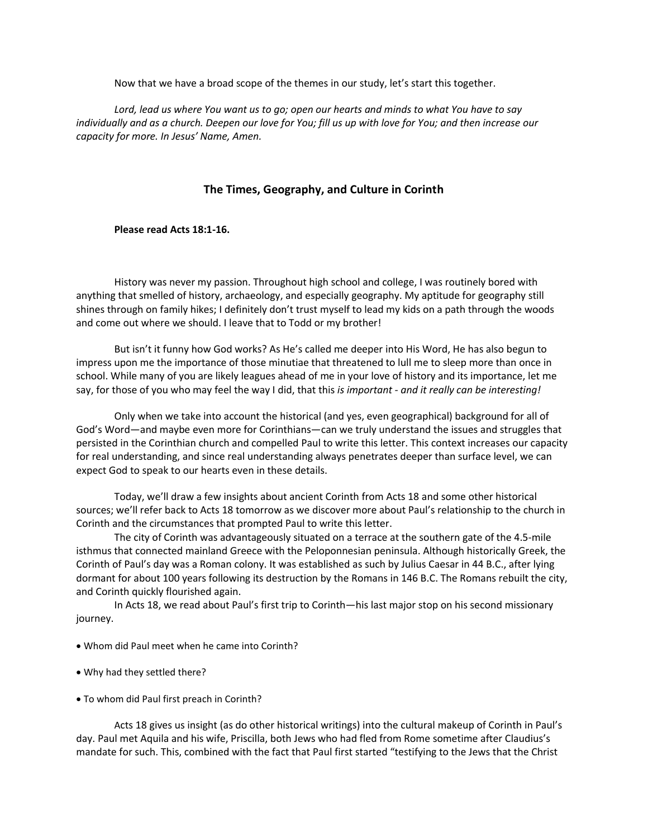Now that we have a broad scope of the themes in our study, let's start this together.

*Lord, lead us where You want us to go; open our hearts and minds to what You have to say individually and as a church. Deepen our love for You; fill us up with love for You; and then increase our capacity for more. In Jesus' Name, Amen.*

# **The Times, Geography, and Culture in Corinth**

**Please read Acts 18:1-16.**

History was never my passion. Throughout high school and college, I was routinely bored with anything that smelled of history, archaeology, and especially geography. My aptitude for geography still shines through on family hikes; I definitely don't trust myself to lead my kids on a path through the woods and come out where we should. I leave that to Todd or my brother!

But isn't it funny how God works? As He's called me deeper into His Word, He has also begun to impress upon me the importance of those minutiae that threatened to lull me to sleep more than once in school. While many of you are likely leagues ahead of me in your love of history and its importance, let me say, for those of you who may feel the way I did, that this *is important - and it really can be interesting!*

Only when we take into account the historical (and yes, even geographical) background for all of God's Word—and maybe even more for Corinthians—can we truly understand the issues and struggles that persisted in the Corinthian church and compelled Paul to write this letter. This context increases our capacity for real understanding, and since real understanding always penetrates deeper than surface level, we can expect God to speak to our hearts even in these details.

Today, we'll draw a few insights about ancient Corinth from Acts 18 and some other historical sources; we'll refer back to Acts 18 tomorrow as we discover more about Paul's relationship to the church in Corinth and the circumstances that prompted Paul to write this letter.

The city of Corinth was advantageously situated on a terrace at the southern gate of the 4.5-mile isthmus that connected mainland Greece with the Peloponnesian peninsula. Although historically Greek, the Corinth of Paul's day was a Roman colony. It was established as such by Julius Caesar in 44 B.C., after lying dormant for about 100 years following its destruction by the Romans in 146 B.C. The Romans rebuilt the city, and Corinth quickly flourished again.

In Acts 18, we read about Paul's first trip to Corinth—his last major stop on his second missionary journey.

- Whom did Paul meet when he came into Corinth?
- Why had they settled there?
- To whom did Paul first preach in Corinth?

Acts 18 gives us insight (as do other historical writings) into the cultural makeup of Corinth in Paul's day. Paul met Aquila and his wife, Priscilla, both Jews who had fled from Rome sometime after Claudius's mandate for such. This, combined with the fact that Paul first started "testifying to the Jews that the Christ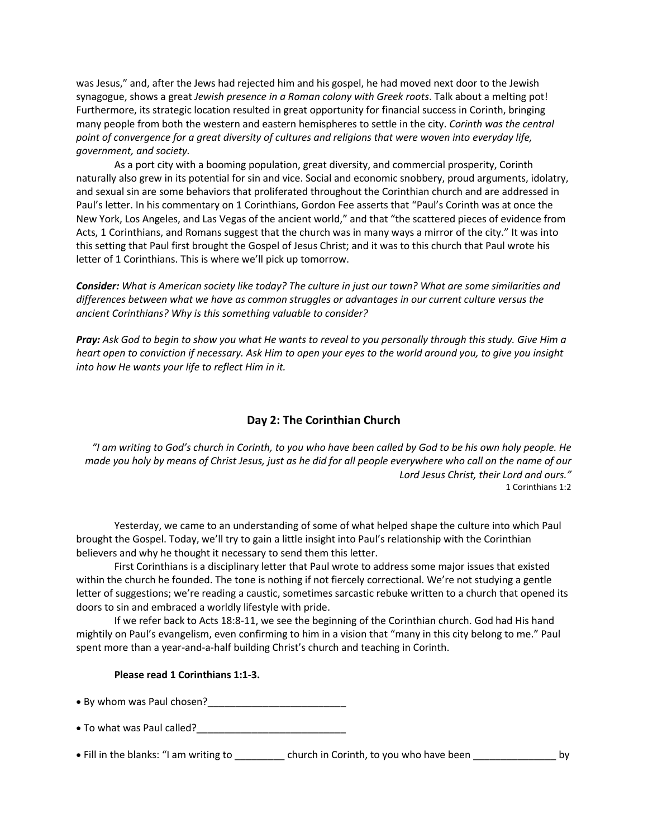was Jesus," and, after the Jews had rejected him and his gospel, he had moved next door to the Jewish synagogue, shows a great *Jewish presence in a Roman colony with Greek roots*. Talk about a melting pot! Furthermore, its strategic location resulted in great opportunity for financial success in Corinth, bringing many people from both the western and eastern hemispheres to settle in the city. *Corinth was the central point of convergence for a great diversity of cultures and religions that were woven into everyday life, government, and society.*

As a port city with a booming population, great diversity, and commercial prosperity, Corinth naturally also grew in its potential for sin and vice. Social and economic snobbery, proud arguments, idolatry, and sexual sin are some behaviors that proliferated throughout the Corinthian church and are addressed in Paul's letter. In his commentary on 1 Corinthians, Gordon Fee asserts that "Paul's Corinth was at once the New York, Los Angeles, and Las Vegas of the ancient world," and that "the scattered pieces of evidence from Acts, 1 Corinthians, and Romans suggest that the church was in many ways a mirror of the city." It was into this setting that Paul first brought the Gospel of Jesus Christ; and it was to this church that Paul wrote his letter of 1 Corinthians. This is where we'll pick up tomorrow.

*Consider: What is American society like today? The culture in just our town? What are some similarities and differences between what we have as common struggles or advantages in our current culture versus the ancient Corinthians? Why is this something valuable to consider?*

*Pray: Ask God to begin to show you what He wants to reveal to you personally through this study. Give Him a heart open to conviction if necessary. Ask Him to open your eyes to the world around you, to give you insight into how He wants your life to reflect Him in it.* 

# **Day 2: The Corinthian Church**

*"I am writing to God's church in Corinth, to you who have been called by God to be his own holy people. He made you holy by means of Christ Jesus, just as he did for all people everywhere who call on the name of our Lord Jesus Christ, their Lord and ours."* 1 Corinthians 1:2

Yesterday, we came to an understanding of some of what helped shape the culture into which Paul brought the Gospel. Today, we'll try to gain a little insight into Paul's relationship with the Corinthian believers and why he thought it necessary to send them this letter.

First Corinthians is a disciplinary letter that Paul wrote to address some major issues that existed within the church he founded. The tone is nothing if not fiercely correctional. We're not studying a gentle letter of suggestions; we're reading a caustic, sometimes sarcastic rebuke written to a church that opened its doors to sin and embraced a worldly lifestyle with pride.

If we refer back to Acts 18:8-11, we see the beginning of the Corinthian church. God had His hand mightily on Paul's evangelism, even confirming to him in a vision that "many in this city belong to me." Paul spent more than a year-and-a-half building Christ's church and teaching in Corinth.

#### **Please read 1 Corinthians 1:1-3.**

- By whom was Paul chosen?
- To what was Paul called?<br>
- Fill in the blanks: "I am writing to \_\_\_\_\_\_\_\_\_\_ church in Corinth, to you who have been \_\_\_\_\_\_\_\_\_\_\_\_\_\_\_\_\_ by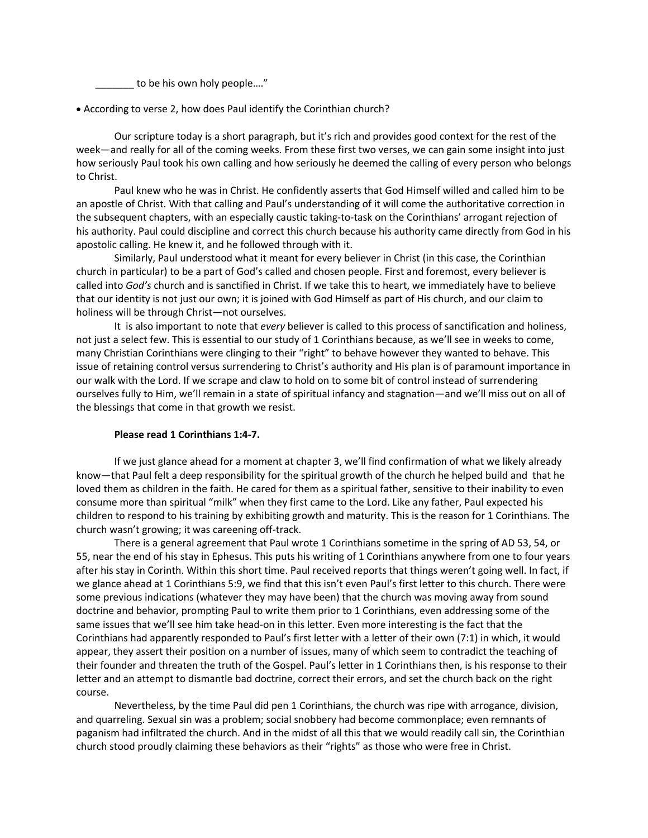to be his own holy people...."

• According to verse 2, how does Paul identify the Corinthian church?

Our scripture today is a short paragraph, but it's rich and provides good context for the rest of the week—and really for all of the coming weeks. From these first two verses, we can gain some insight into just how seriously Paul took his own calling and how seriously he deemed the calling of every person who belongs to Christ.

Paul knew who he was in Christ. He confidently asserts that God Himself willed and called him to be an apostle of Christ. With that calling and Paul's understanding of it will come the authoritative correction in the subsequent chapters, with an especially caustic taking-to-task on the Corinthians' arrogant rejection of his authority. Paul could discipline and correct this church because his authority came directly from God in his apostolic calling. He knew it, and he followed through with it.

Similarly, Paul understood what it meant for every believer in Christ (in this case, the Corinthian church in particular) to be a part of God's called and chosen people. First and foremost, every believer is called into *God's* church and is sanctified in Christ. If we take this to heart, we immediately have to believe that our identity is not just our own; it is joined with God Himself as part of His church, and our claim to holiness will be through Christ—not ourselves.

It is also important to note that *every* believer is called to this process of sanctification and holiness, not just a select few. This is essential to our study of 1 Corinthians because, as we'll see in weeks to come, many Christian Corinthians were clinging to their "right" to behave however they wanted to behave. This issue of retaining control versus surrendering to Christ's authority and His plan is of paramount importance in our walk with the Lord. If we scrape and claw to hold on to some bit of control instead of surrendering ourselves fully to Him, we'll remain in a state of spiritual infancy and stagnation—and we'll miss out on all of the blessings that come in that growth we resist.

#### **Please read 1 Corinthians 1:4-7.**

If we just glance ahead for a moment at chapter 3, we'll find confirmation of what we likely already know—that Paul felt a deep responsibility for the spiritual growth of the church he helped build and that he loved them as children in the faith. He cared for them as a spiritual father, sensitive to their inability to even consume more than spiritual "milk" when they first came to the Lord. Like any father, Paul expected his children to respond to his training by exhibiting growth and maturity. This is the reason for 1 Corinthians. The church wasn't growing; it was careening off-track.

There is a general agreement that Paul wrote 1 Corinthians sometime in the spring of AD 53, 54, or 55, near the end of his stay in Ephesus. This puts his writing of 1 Corinthians anywhere from one to four years after his stay in Corinth. Within this short time. Paul received reports that things weren't going well. In fact, if we glance ahead at 1 Corinthians 5:9, we find that this isn't even Paul's first letter to this church. There were some previous indications (whatever they may have been) that the church was moving away from sound doctrine and behavior, prompting Paul to write them prior to 1 Corinthians, even addressing some of the same issues that we'll see him take head-on in this letter. Even more interesting is the fact that the Corinthians had apparently responded to Paul's first letter with a letter of their own (7:1) in which, it would appear, they assert their position on a number of issues, many of which seem to contradict the teaching of their founder and threaten the truth of the Gospel. Paul's letter in 1 Corinthians then, is his response to their letter and an attempt to dismantle bad doctrine, correct their errors, and set the church back on the right course.

Nevertheless, by the time Paul did pen 1 Corinthians, the church was ripe with arrogance, division, and quarreling. Sexual sin was a problem; social snobbery had become commonplace; even remnants of paganism had infiltrated the church. And in the midst of all this that we would readily call sin, the Corinthian church stood proudly claiming these behaviors as their "rights" as those who were free in Christ.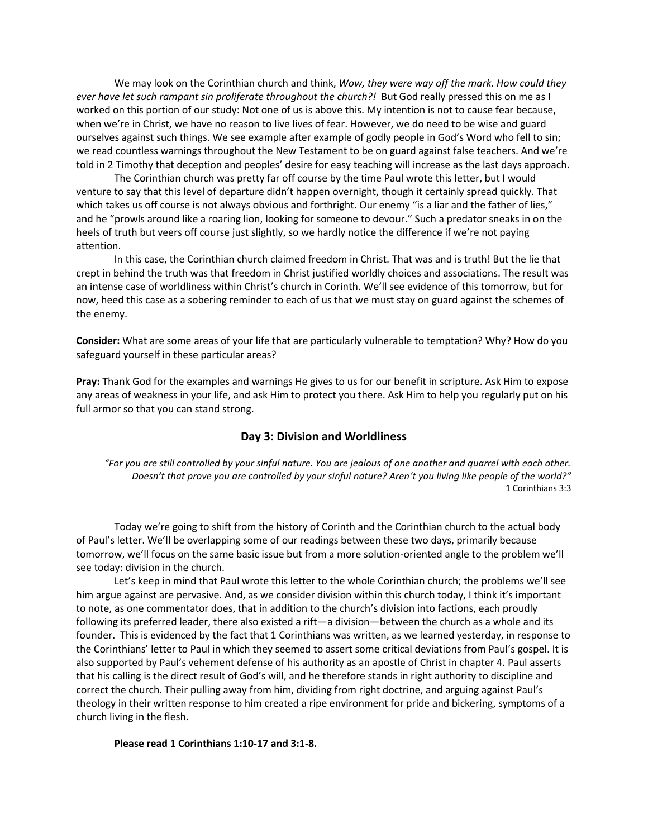We may look on the Corinthian church and think, *Wow, they were way off the mark. How could they ever have let such rampant sin proliferate throughout the church?!* But God really pressed this on me as I worked on this portion of our study: Not one of us is above this. My intention is not to cause fear because, when we're in Christ, we have no reason to live lives of fear. However, we do need to be wise and guard ourselves against such things. We see example after example of godly people in God's Word who fell to sin; we read countless warnings throughout the New Testament to be on guard against false teachers. And we're told in 2 Timothy that deception and peoples' desire for easy teaching will increase as the last days approach.

The Corinthian church was pretty far off course by the time Paul wrote this letter, but I would venture to say that this level of departure didn't happen overnight, though it certainly spread quickly. That which takes us off course is not always obvious and forthright. Our enemy "is a liar and the father of lies," and he "prowls around like a roaring lion, looking for someone to devour." Such a predator sneaks in on the heels of truth but veers off course just slightly, so we hardly notice the difference if we're not paying attention.

In this case, the Corinthian church claimed freedom in Christ. That was and is truth! But the lie that crept in behind the truth was that freedom in Christ justified worldly choices and associations. The result was an intense case of worldliness within Christ's church in Corinth. We'll see evidence of this tomorrow, but for now, heed this case as a sobering reminder to each of us that we must stay on guard against the schemes of the enemy.

**Consider:** What are some areas of your life that are particularly vulnerable to temptation? Why? How do you safeguard yourself in these particular areas?

**Pray:** Thank God for the examples and warnings He gives to us for our benefit in scripture. Ask Him to expose any areas of weakness in your life, and ask Him to protect you there. Ask Him to help you regularly put on his full armor so that you can stand strong.

### **Day 3: Division and Worldliness**

*"For you are still controlled by your sinful nature. You are jealous of one another and quarrel with each other. Doesn't that prove you are controlled by your sinful nature? Aren't you living like people of the world?"* 1 Corinthians 3:3

Today we're going to shift from the history of Corinth and the Corinthian church to the actual body of Paul's letter. We'll be overlapping some of our readings between these two days, primarily because tomorrow, we'll focus on the same basic issue but from a more solution-oriented angle to the problem we'll see today: division in the church.

Let's keep in mind that Paul wrote this letter to the whole Corinthian church; the problems we'll see him argue against are pervasive. And, as we consider division within this church today, I think it's important to note, as one commentator does, that in addition to the church's division into factions, each proudly following its preferred leader, there also existed a rift—a division—between the church as a whole and its founder. This is evidenced by the fact that 1 Corinthians was written, as we learned yesterday, in response to the Corinthians' letter to Paul in which they seemed to assert some critical deviations from Paul's gospel. It is also supported by Paul's vehement defense of his authority as an apostle of Christ in chapter 4. Paul asserts that his calling is the direct result of God's will, and he therefore stands in right authority to discipline and correct the church. Their pulling away from him, dividing from right doctrine, and arguing against Paul's theology in their written response to him created a ripe environment for pride and bickering, symptoms of a church living in the flesh.

#### **Please read 1 Corinthians 1:10-17 and 3:1-8.**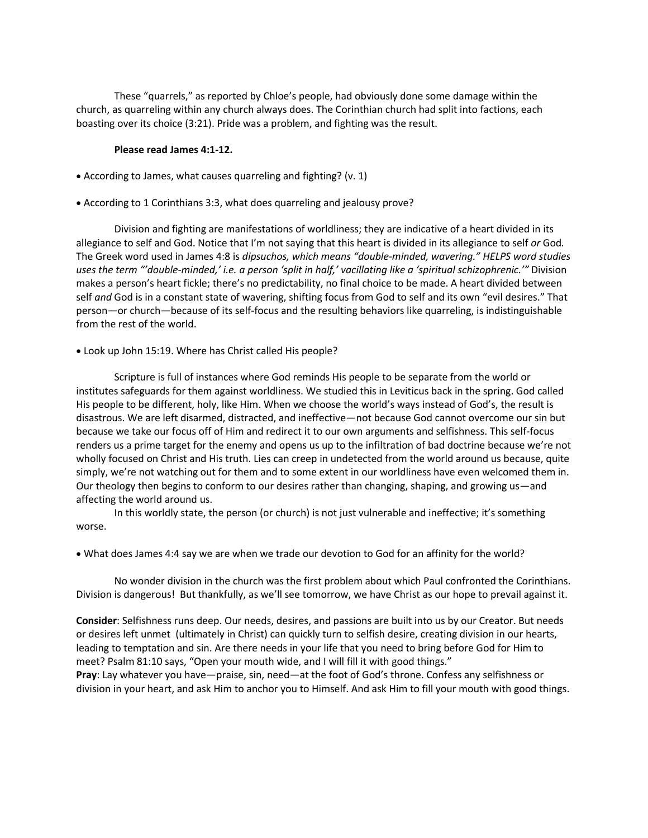These "quarrels," as reported by Chloe's people, had obviously done some damage within the church, as quarreling within any church always does. The Corinthian church had split into factions, each boasting over its choice (3:21). Pride was a problem, and fighting was the result.

#### **Please read James 4:1-12.**

- According to James, what causes quarreling and fighting? (v. 1)
- According to 1 Corinthians 3:3, what does quarreling and jealousy prove?

Division and fighting are manifestations of worldliness; they are indicative of a heart divided in its allegiance to self and God. Notice that I'm not saying that this heart is divided in its allegiance to self *or* God*.* The Greek word used in James 4:8 is *dipsuchos, which means "double-minded, wavering." HELPS word studies uses the term "'double-minded,' i.e. a person 'split in half,' vacillating like a 'spiritual schizophrenic.'"* Division makes a person's heart fickle; there's no predictability, no final choice to be made. A heart divided between self *and* God is in a constant state of wavering, shifting focus from God to self and its own "evil desires." That person—or church—because of its self-focus and the resulting behaviors like quarreling, is indistinguishable from the rest of the world.

• Look up John 15:19. Where has Christ called His people?

Scripture is full of instances where God reminds His people to be separate from the world or institutes safeguards for them against worldliness. We studied this in Leviticus back in the spring. God called His people to be different, holy, like Him. When we choose the world's ways instead of God's, the result is disastrous. We are left disarmed, distracted, and ineffective—not because God cannot overcome our sin but because we take our focus off of Him and redirect it to our own arguments and selfishness. This self-focus renders us a prime target for the enemy and opens us up to the infiltration of bad doctrine because we're not wholly focused on Christ and His truth. Lies can creep in undetected from the world around us because, quite simply, we're not watching out for them and to some extent in our worldliness have even welcomed them in. Our theology then begins to conform to our desires rather than changing, shaping, and growing us—and affecting the world around us.

In this worldly state, the person (or church) is not just vulnerable and ineffective; it's something worse.

• What does James 4:4 say we are when we trade our devotion to God for an affinity for the world?

No wonder division in the church was the first problem about which Paul confronted the Corinthians. Division is dangerous! But thankfully, as we'll see tomorrow, we have Christ as our hope to prevail against it.

**Consider**: Selfishness runs deep. Our needs, desires, and passions are built into us by our Creator. But needs or desires left unmet (ultimately in Christ) can quickly turn to selfish desire, creating division in our hearts, leading to temptation and sin. Are there needs in your life that you need to bring before God for Him to meet? Psalm 81:10 says, "Open your mouth wide, and I will fill it with good things." **Pray**: Lay whatever you have—praise, sin, need—at the foot of God's throne. Confess any selfishness or division in your heart, and ask Him to anchor you to Himself. And ask Him to fill your mouth with good things.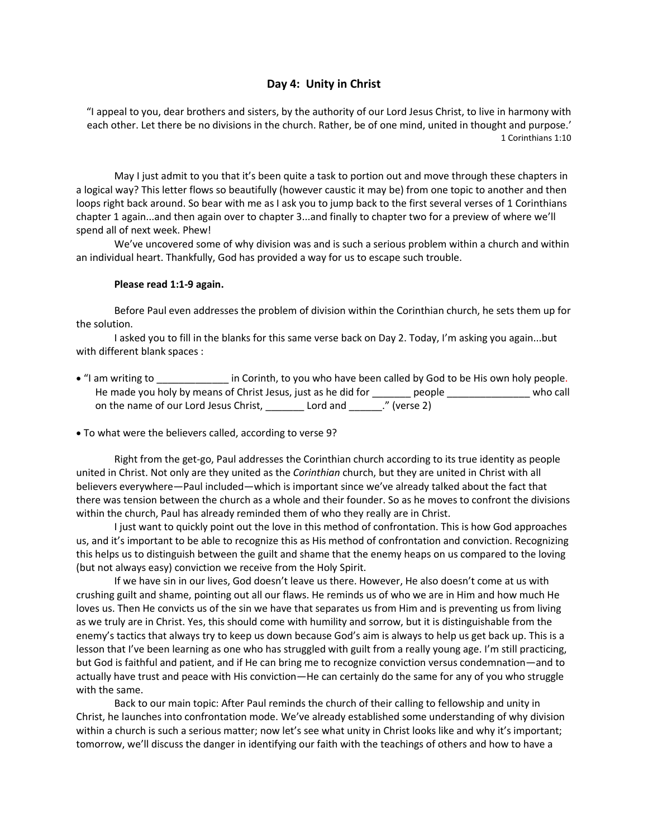# **Day 4: Unity in Christ**

"I appeal to you, dear brothers and sisters, by the authority of our Lord Jesus Christ, to live in harmony with each other. Let there be no divisions in the church. Rather, be of one mind, united in thought and purpose.' 1 Corinthians 1:10

 May I just admit to you that it's been quite a task to portion out and move through these chapters in a logical way? This letter flows so beautifully (however caustic it may be) from one topic to another and then loops right back around. So bear with me as I ask you to jump back to the first several verses of 1 Corinthians chapter 1 again...and then again over to chapter 3...and finally to chapter two for a preview of where we'll spend all of next week. Phew!

 We've uncovered some of why division was and is such a serious problem within a church and within an individual heart. Thankfully, God has provided a way for us to escape such trouble.

#### **Please read 1:1-9 again.**

 Before Paul even addresses the problem of division within the Corinthian church, he sets them up for the solution.

 I asked you to fill in the blanks for this same verse back on Day 2. Today, I'm asking you again...but with different blank spaces :

- "I am writing to each corinth, to you who have been called by God to be His own holy people. He made you holy by means of Christ Jesus, just as he did for \_\_\_\_\_\_\_ people \_\_\_\_\_\_\_\_\_\_\_\_\_\_\_\_\_ who call on the name of our Lord Jesus Christ, \_\_\_\_\_\_\_\_ Lord and \_\_\_\_\_\_." (verse 2)
- To what were the believers called, according to verse 9?

 Right from the get-go, Paul addresses the Corinthian church according to its true identity as people united in Christ. Not only are they united as the *Corinthian* church, but they are united in Christ with all believers everywhere—Paul included—which is important since we've already talked about the fact that there was tension between the church as a whole and their founder. So as he moves to confront the divisions within the church, Paul has already reminded them of who they really are in Christ.

I just want to quickly point out the love in this method of confrontation. This is how God approaches us, and it's important to be able to recognize this as His method of confrontation and conviction. Recognizing this helps us to distinguish between the guilt and shame that the enemy heaps on us compared to the loving (but not always easy) conviction we receive from the Holy Spirit.

If we have sin in our lives, God doesn't leave us there. However, He also doesn't come at us with crushing guilt and shame, pointing out all our flaws. He reminds us of who we are in Him and how much He loves us. Then He convicts us of the sin we have that separates us from Him and is preventing us from living as we truly are in Christ. Yes, this should come with humility and sorrow, but it is distinguishable from the enemy's tactics that always try to keep us down because God's aim is always to help us get back up. This is a lesson that I've been learning as one who has struggled with guilt from a really young age. I'm still practicing, but God is faithful and patient, and if He can bring me to recognize conviction versus condemnation—and to actually have trust and peace with His conviction—He can certainly do the same for any of you who struggle with the same.

 Back to our main topic: After Paul reminds the church of their calling to fellowship and unity in Christ, he launches into confrontation mode. We've already established some understanding of why division within a church is such a serious matter; now let's see what unity in Christ looks like and why it's important; tomorrow, we'll discuss the danger in identifying our faith with the teachings of others and how to have a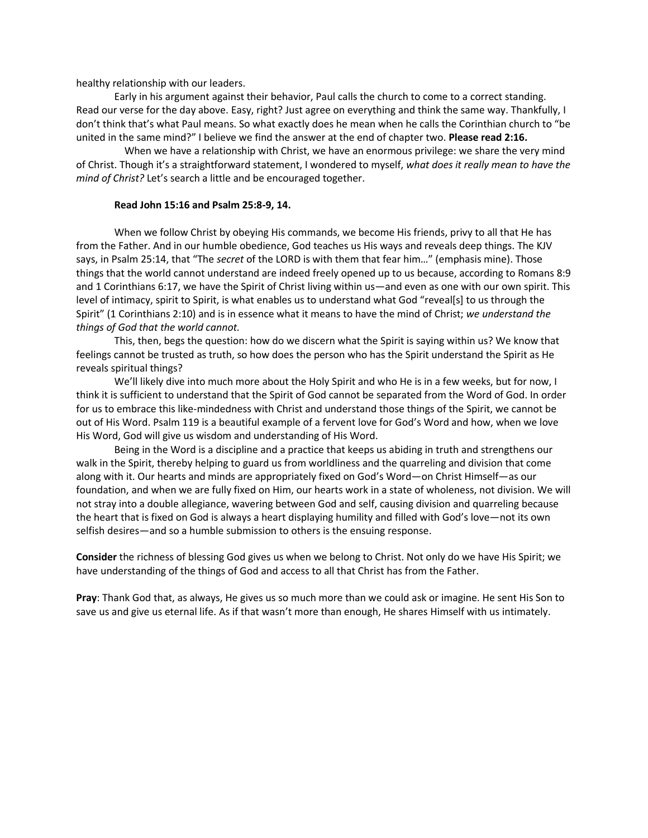healthy relationship with our leaders.

 Early in his argument against their behavior, Paul calls the church to come to a correct standing. Read our verse for the day above. Easy, right? Just agree on everything and think the same way. Thankfully, I don't think that's what Paul means. So what exactly does he mean when he calls the Corinthian church to "be united in the same mind?" I believe we find the answer at the end of chapter two. **Please read 2:16.**

 When we have a relationship with Christ, we have an enormous privilege: we share the very mind of Christ. Though it's a straightforward statement, I wondered to myself, *what does it really mean to have the mind of Christ?* Let's search a little and be encouraged together.

#### **Read John 15:16 and Psalm 25:8-9, 14.**

When we follow Christ by obeying His commands, we become His friends, privy to all that He has from the Father. And in our humble obedience, God teaches us His ways and reveals deep things. The KJV says, in Psalm 25:14, that "The *secret* of the LORD is with them that fear him…" (emphasis mine). Those things that the world cannot understand are indeed freely opened up to us because, according to Romans 8:9 and 1 Corinthians 6:17, we have the Spirit of Christ living within us—and even as one with our own spirit. This level of intimacy, spirit to Spirit, is what enables us to understand what God "reveal[s] to us through the Spirit" (1 Corinthians 2:10) and is in essence what it means to have the mind of Christ; *we understand the things of God that the world cannot.*

This, then, begs the question: how do we discern what the Spirit is saying within us? We know that feelings cannot be trusted as truth, so how does the person who has the Spirit understand the Spirit as He reveals spiritual things?

We'll likely dive into much more about the Holy Spirit and who He is in a few weeks, but for now, I think it is sufficient to understand that the Spirit of God cannot be separated from the Word of God. In order for us to embrace this like-mindedness with Christ and understand those things of the Spirit, we cannot be out of His Word. Psalm 119 is a beautiful example of a fervent love for God's Word and how, when we love His Word, God will give us wisdom and understanding of His Word.

Being in the Word is a discipline and a practice that keeps us abiding in truth and strengthens our walk in the Spirit, thereby helping to guard us from worldliness and the quarreling and division that come along with it. Our hearts and minds are appropriately fixed on God's Word—on Christ Himself—as our foundation, and when we are fully fixed on Him, our hearts work in a state of wholeness, not division. We will not stray into a double allegiance, wavering between God and self, causing division and quarreling because the heart that is fixed on God is always a heart displaying humility and filled with God's love—not its own selfish desires—and so a humble submission to others is the ensuing response.

**Consider** the richness of blessing God gives us when we belong to Christ. Not only do we have His Spirit; we have understanding of the things of God and access to all that Christ has from the Father.

**Pray**: Thank God that, as always, He gives us so much more than we could ask or imagine. He sent His Son to save us and give us eternal life. As if that wasn't more than enough, He shares Himself with us intimately.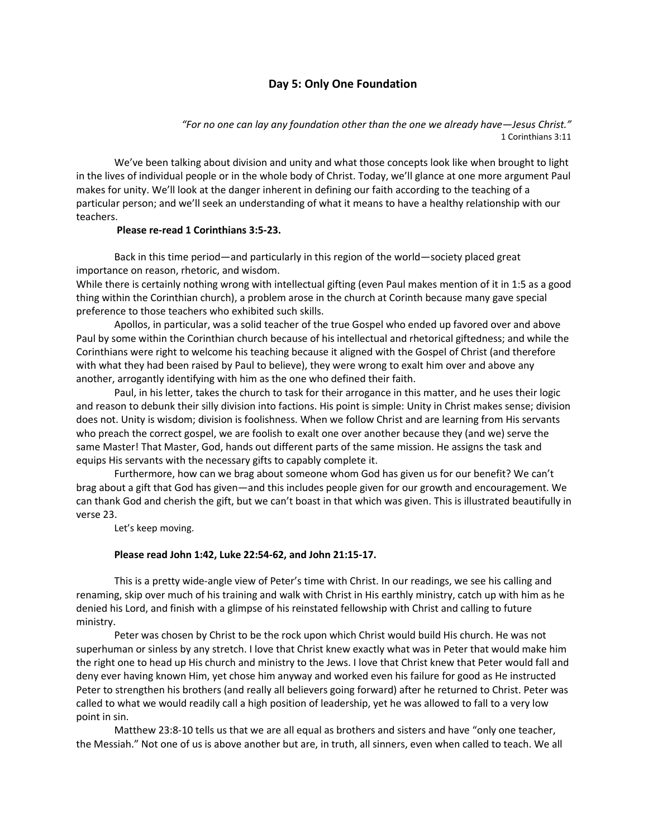# **Day 5: Only One Foundation**

*"For no one can lay any foundation other than the one we already have—Jesus Christ."* 1 Corinthians 3:11

 We've been talking about division and unity and what those concepts look like when brought to light in the lives of individual people or in the whole body of Christ. Today, we'll glance at one more argument Paul makes for unity. We'll look at the danger inherent in defining our faith according to the teaching of a particular person; and we'll seek an understanding of what it means to have a healthy relationship with our teachers.

#### **Please re-read 1 Corinthians 3:5-23.**

 Back in this time period—and particularly in this region of the world—society placed great importance on reason, rhetoric, and wisdom.

While there is certainly nothing wrong with intellectual gifting (even Paul makes mention of it in 1:5 as a good thing within the Corinthian church), a problem arose in the church at Corinth because many gave special preference to those teachers who exhibited such skills.

Apollos, in particular, was a solid teacher of the true Gospel who ended up favored over and above Paul by some within the Corinthian church because of his intellectual and rhetorical giftedness; and while the Corinthians were right to welcome his teaching because it aligned with the Gospel of Christ (and therefore with what they had been raised by Paul to believe), they were wrong to exalt him over and above any another, arrogantly identifying with him as the one who defined their faith.

 Paul, in his letter, takes the church to task for their arrogance in this matter, and he uses their logic and reason to debunk their silly division into factions. His point is simple: Unity in Christ makes sense; division does not. Unity is wisdom; division is foolishness. When we follow Christ and are learning from His servants who preach the correct gospel, we are foolish to exalt one over another because they (and we) serve the same Master! That Master, God, hands out different parts of the same mission. He assigns the task and equips His servants with the necessary gifts to capably complete it.

 Furthermore, how can we brag about someone whom God has given us for our benefit? We can't brag about a gift that God has given—and this includes people given for our growth and encouragement. We can thank God and cherish the gift, but we can't boast in that which was given. This is illustrated beautifully in verse 23.

Let's keep moving.

#### **Please read John 1:42, Luke 22:54-62, and John 21:15-17.**

 This is a pretty wide-angle view of Peter's time with Christ. In our readings, we see his calling and renaming, skip over much of his training and walk with Christ in His earthly ministry, catch up with him as he denied his Lord, and finish with a glimpse of his reinstated fellowship with Christ and calling to future ministry.

 Peter was chosen by Christ to be the rock upon which Christ would build His church. He was not superhuman or sinless by any stretch. I love that Christ knew exactly what was in Peter that would make him the right one to head up His church and ministry to the Jews. I love that Christ knew that Peter would fall and deny ever having known Him, yet chose him anyway and worked even his failure for good as He instructed Peter to strengthen his brothers (and really all believers going forward) after he returned to Christ. Peter was called to what we would readily call a high position of leadership, yet he was allowed to fall to a very low point in sin.

 Matthew 23:8-10 tells us that we are all equal as brothers and sisters and have "only one teacher, the Messiah." Not one of us is above another but are, in truth, all sinners, even when called to teach. We all